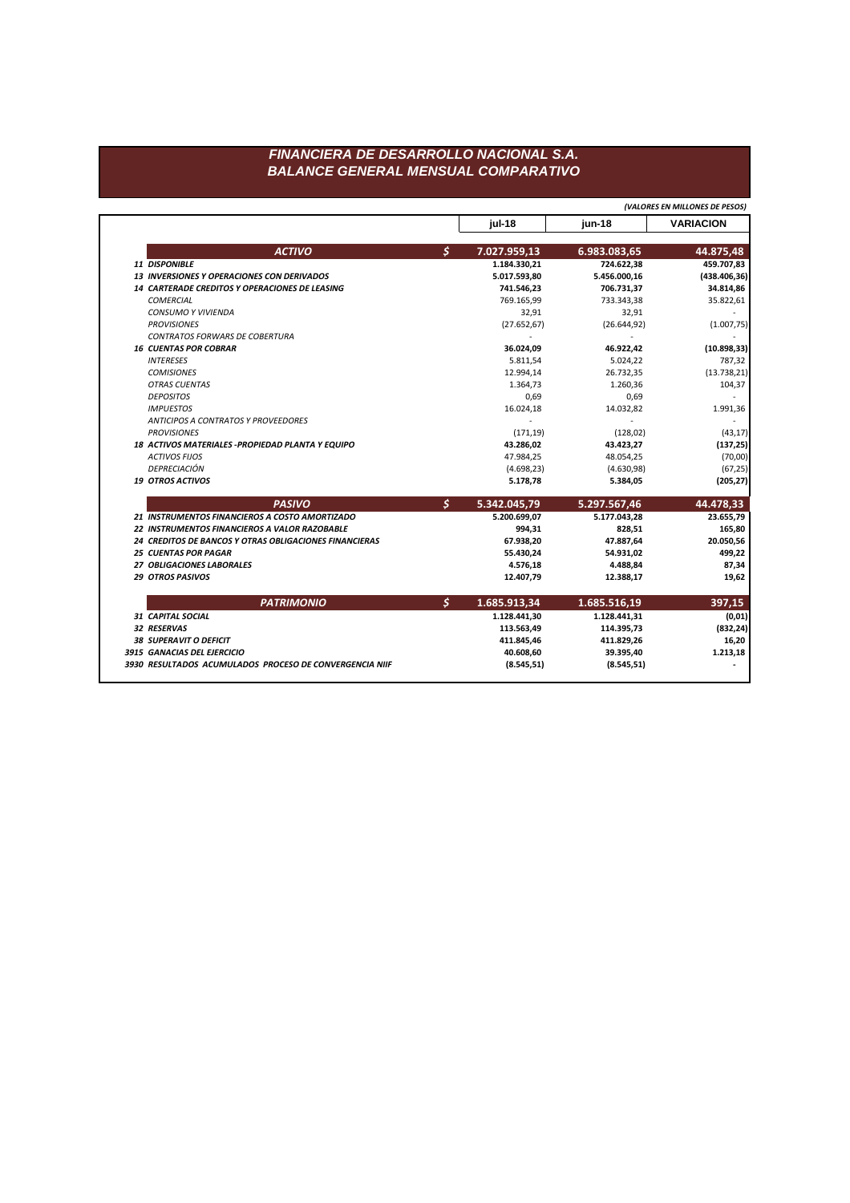**jul-18 jun-18 VARIACION** *ACTIVO \$* **7.027.959,13 6.983.083,65 44.875,48** *11 DISPONIBLE* **1.184.330,21 724.622,38 459.707,83** *13 INVERSIONES Y OPERACIONES CON DERIVADOS* **5.017.593,80 5.456.000,16 (438.406,36)** *14 CARTERADE CREDITOS Y OPERACIONES DE LEASING* **741.546,23 706.731,37 34.814,86** *COMERCIAL* 769.165,99 733.343,38 35.822,61 *CONSUMO Y VIVIENDA* 32,91 32,91 - *PROVISIONES* (27.652,67) (26.644,92) (1.007,75) *CONTRATOS FORWARS DE COBERTURA* - - - *16 CUENTAS POR COBRAR* **36.024,09 46.922,42 (10.898,33)** *INTERESES* 5.811,54 5.024,22 787,32 *COMISIONES* 12.994,14 26.732,35 (13.738,21) *OTRAS CUENTAS* 1.364,73 1.260,36 104,37 *DEPOSITOS* 0,69 0,69 - *IMPUESTOS* 16.024,18 14.032,82 1.991,36 *ANTICIPOS A CONTRATOS Y PROVEEDORES* - - - *PROVISIONES* (171,19) (128,02) (43,17) *18 ACTIVOS MATERIALES -PROPIEDAD PLANTA Y EQUIPO* **43.286,02 43.423,27 (137,25)** *ACTIVOS FIJOS* 47.984,25 48.054,25 (70,00) *DEPRECIACIÓN* (4.698,23) (4.630,98) (67,25) *19 OTROS ACTIVOS* **5.178,78 5.384,05 (205,27)** *PASIVO \$* **5.342.045,79 5.297.567,46 44.478,33** *21 INSTRUMENTOS FINANCIEROS A COSTO AMORTIZADO* **5.200.699,07 5.177.043,28 23.655,79** *22 INSTRUMENTOS FINANCIEROS A VALOR RAZOBABLE* **994,31 828,51 165,80** *24 CREDITOS DE BANCOS Y OTRAS OBLIGACIONES FINANCIERAS* **67.938,20 47.887,64 20.050,56** *25 CUENTAS POR PAGAR* **55.430,24 54.931,02 499,22** *27 OBLIGACIONES LABORALES* **4.576,18 4.488,84 87,34** *29 OTROS PASIVOS* **12.407,79 12.388,17 19,62** *PATRIMONIO \$* **1.685.913,34 1.685.516,19 397,15** *31 CAPITAL SOCIAL* **1.128.441,30 1.128.441,31 (0,01)** *32 RESERVAS* **113.563,49 114.395,73 (832,24)** *38 SUPERAVIT O DEFICIT* **411.845,46 411.829,26 16,20** *3915 GANACIAS DEL EJERCICIO* **40.608,60 39.395,40 1.213,18** *3930 RESULTADOS ACUMULADOS PROCESO DE CONVERGENCIA NIIF* **(8.545,51) (8.545,51) -** *(VALORES EN MILLONES DE PESOS)*

## *FINANCIERA DE DESARROLLO NACIONAL S.A. BALANCE GENERAL MENSUAL COMPARATIVO*